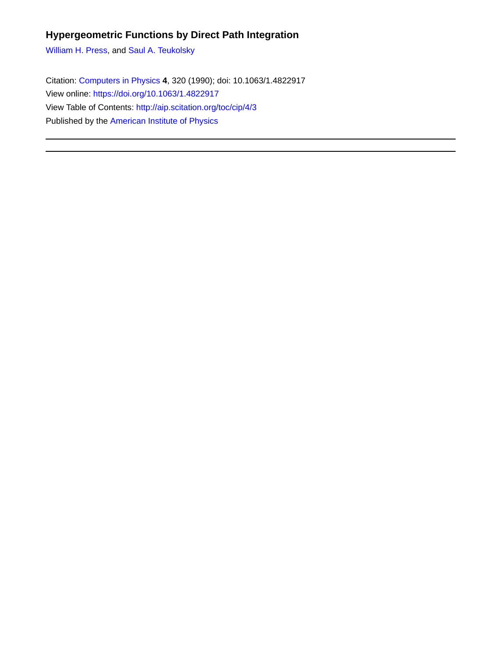### **Hypergeometric Functions by Direct Path Integration**

[William H. Press,](http://aip.scitation.org/author/Press%2C+William+H) and [Saul A. Teukolsky](http://aip.scitation.org/author/Teukolsky%2C+Saul+A)

Citation: [Computers in Physics](/loi/cip) **4**, 320 (1990); doi: 10.1063/1.4822917 View online: <https://doi.org/10.1063/1.4822917> View Table of Contents:<http://aip.scitation.org/toc/cip/4/3> Published by the [American Institute of Physics](http://aip.scitation.org/publisher/)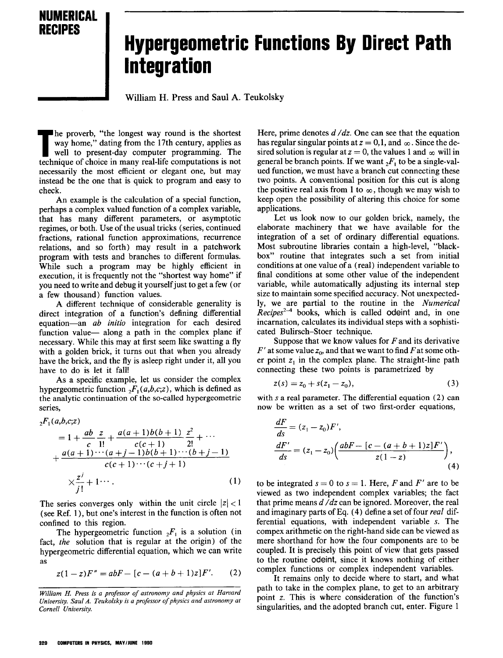

# **Hypergeometric Functions By Direct Path Integration**

William H. Press and Saul A. Teukolsky

The proverb, "the longest way round is the shortest way home," dating from the 17th century, applies as well to present-day computer programming. The technique of choice in many real-life computations is not he proverb, "the longest way round is the shortest way home," dating from the 17th century, applies as well to present-day computer programming. The necessarily the most efficient or elegant one, but may instead be the one that is quick to program and easy to check.

An example is the calculation of a special function, perhaps a complex valued function of a complex variable, that has many different parameters, or asymptotic regimes, or both. Use of the usual tricks (series, continued fractions, rational function approximations, recurrence relations, and so forth) may result in a patchwork program with tests and branches to different formulas. While such a program may be highly efficient in execution, it is frequently not the "shortest way home" if you need to write and debug it yourselfjust to get a few (or a few thousand) function values.

A different technique of considerable generality is direct integration of a function's defining differential equation-an *ab initio* integration for each desired function value- along a path in the complex plane if necessary. While this may at first seem like swatting a fly with a golden brick, it turns out that when you already have the brick, and the fly is asleep right under it, all you have to do is let it fall!

As a specific example, let us consider the complex hypergeometric function  ${}_{2}F_{1}(a,b,c;z)$ , which is defined as the analytic continuation of the so-called hypergeometric series,

$$
{}_{2}F_{1}(a,b,c;z)
$$
\n
$$
= 1 + \frac{ab}{c} \frac{z}{1!} + \frac{a(a+1)b(b+1)}{c(c+1)} \frac{z^{2}}{2!} + \cdots + \frac{a(a+1)\cdots(a+j-1)b(b+1)\cdots(b+j-1)}{c(c+1)\cdots(c+j+1)} \times \frac{z^{j}}{j!} + 1 \cdots
$$
\n(1)

The series converges only within the unit circle  $|z| < 1$ (see Ref. 1), but one's interest in the function is often not confined to this region.

The hypergeometric function  ${}_{2}F_{1}$  is a solution (in fact, *the* solution that is regular at the origin) of the hypergeometric differential equation, which we can write as

$$
z(1-z)F'' = abF - [c - (a+b+1)z]F'.
$$
 (2)

Here, prime denotes *d* / *dz*. One can see that the equation has regular singular points at  $z = 0,1$ , and  $\infty$ . Since the desired solution is regular at  $z = 0$ , the values 1 and  $\infty$  will in general be branch points. If we want  ${}_{2}F_{1}$  to be a single-valued function, we must have a branch cut connecting these two points. A conventional position for this cut is along the positive real axis from 1 to  $\infty$ , though we may wish to keep open the possibility of altering this choice for some applications,

Let us look now to our golden brick, namely, the elaborate machinery that we have available for the integration of a set of ordinary differential equations. Most subroutine libraries contain a high-level, "blackbox" routine that integrates such a set from initial conditions at one value of a (real) independent variable to final conditions at some other value of the independent variable, while automatically adjusting its internal step size to maintain some specified accuracy. Not unexpectedly, we are partial to the routine in the *Numerical*  $Recipes^{2-4}$  books, which is called odeint and, in one incarnation, calculates its individual steps with a sophisticated Bulirsch-Stoer technique,

Suppose that we know values for  $F$  and its derivative  $F'$  at some value  $z_0$ , and that we want to find  $F$  at some other point  $z_1$  in the complex plane. The straight-line path connecting these two points is parametrized by

$$
z(s) = z_0 + s(z_1 - z_0),
$$
 (3)

with *s* a real parameter. The differential equation (2) can now be written as a set of two first-order equations,

$$
\frac{dF}{ds} = (z_1 - z_0)F',\n\frac{dF'}{ds} = (z_1 - z_0) \left( \frac{abF - [c - (a + b + 1)z]F'}{z(1 - z)} \right),
$$
\n(4)

to be integrated  $s = 0$  to  $s = 1$ . Here, F and F' are to be viewed as two independent complex variables; the fact that prime means d */dz* can be ignored. Moreover, the real and imaginary parts of Eq. (4) definea set of four *real* differential equations, with independent variable *s.* The compex arithmetic on the right-hand side can be viewed as mere shorthand for how the four components are to be coupled. It is precisely this point of view that gets passed to the routine odeint, since it knows nothing of either complex functions or complex independent variables.

It remains only to decide where to start, and what path to take in the complex plane, to get to an arbitrary point *z.* This is where consideration of the function's singularities, and the adopted branch cut, enter. Figure 1

*William H. Press is a professor of astronomy and physics at Harvard University. Saul A. Teukolsky is a professorofphysics and astronomy at Cornell University.*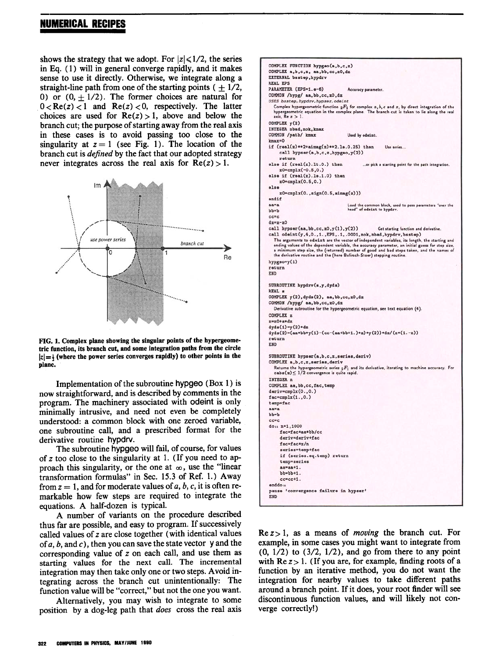### NUMERICAL RECIPES

shows the strategy that we adopt. For  $|z| \leq 1/2$ , the series in Eq. (1) will in general converge rapidly, and it makes sense to use it directly. Otherwise, we integrate along a straight-line path from one of the starting points  $( + 1/2, )$ 0) or  $(0, \pm 1/2)$ . The former choices are natural for  $0 < Re(z) < 1$  and  $Re(z) < 0$ , respectively. The latter choices are used for  $Re(z) > 1$ , above and below the branch cut; the purpose of starting away from the real axis in these cases is to avoid passing too close to the singularity at  $z = 1$  (see Fig. 1). The location of the branch cut is *defined* by the fact that our adopted strategy never integrates across the real axis for  $Re(z) > 1$ .



FIG. 1. Complex plane showing the singular points of the hypergeometric function, its branch cut, and some integration paths from the circle  $|z|=$  {where the power series converges rapidly) to other points in the plane.

Implementation of the subroutine hypgeo (Box I) is now straightforward, and is described by comments in the program. The machinery associated with odeint is only minimally intrusive, and need not even be completely understood: a common block with one zeroed variable, one subroutine call, and a prescribed format for the derivative routine hypdrv.

The subroutine hypgeo will fail, of course, for values of z too close to the singularity at 1. (If you need to approach this singularity, or the one at  $\infty$ , use the "linear transformation formulas" in Sec. 15.3 of Ref. 1.) Away from  $z = 1$ , and for moderate values of  $a, b, c$ , it is often remarkable how few steps are required to integrate the equations. A half-dozen is typical.

A number of variants on the procedure described thus far are possible, and easy to program. If successively called values of z are close together (with identical values of  $a, b$ , and  $c$ ), then you can save the state vector y and the corresponding value of z on each call, and use them as starting values for the next call. The incremental integration may then take only one or two steps. Avoid integrating across the branch cut unintentionally: The function value will be "correct," but not the one you want.

Alternatively, you may wish to integrate to some position by a dog-leg path that *does* cross the real axis

COMPLEX FUNCTION hypgeo(a,b,c,z) COMPLEX a,b,c,z, aa,bb,cc,zO,dz<br>EXTERNAL bsstep,hypdrv REAL EPS PARAMETER (EPS=1.e-6) Accuracy paran COMMON /hype/ aa.bb.cc.z0.dz USES bsstep, hypdrv, hypser, odeint Complex hypergeometric function  $_2F_1$  for complex a,  $b, c$  and  $z$ , by direct integration of the<br>hypergeometric equation in the complex plane. The branch cut is taken to lie along the real hypergeometric<br>axis,  $Re z > 1$ . COKPLEI y(2) TNTEGER nbad.nok, kmax. COMMON /path/ kmax Used by odeint. max-O if  $(real(z)*2+aimag(z)**2.10.0.25)$  then Use series... call  $hypser(a,b,c,z,hypgeo,y(2))$ return<br>else if  $(rcal(z).It.0.)$  then ...or pick a starting point for the path integration.  $z0 = \text{cm}$ plx $(-0.5.0.)$ else if  $(rcal(z) . 1e. 1.0)$  then  $z0 = \text{cm}$ plx(0.5,0.) else  $z0=cmplx(0.,sign(0.5,aimag(z)))$ endif<br>aa=a Load the common block, used to pass parameters "over the<br>head" of odeint to hypdrv.  $bb = b$  $cc = c$  $d$ z = z - z 0 call hypser(aa, bb, cc, z0, y(1), y(2)) Get starting function and derivative. call odeint(y,4,0.,1.,EPS,.1,.0001,nok,nbad, hypdrv,bsstep) The arguments to odøånt are the vector of independent variables, its length, the starting and<br>ending values of the dependent variable, the accuracy parameter, an initial guess for step size,<br>a minimum step size, the (retur  $hypqoo=v(1)$ return EIO SUBROUTINE hypdrv(s,y,dyds) REAL a  $COMPLEX Y(2), dyds(2), aa, bb, cc, z0, dz$ COMMON /hypg/ aa, bb, cc, z0, dz Derivative subroutine for the hypergeometric equation, see text equation (4).  $COMDIPY =$  $z = z0 + s * dz$  $dyds(1)=y(2)*dz$  $dyds(2) = (aa*bb*y(1)-(cc-(aa*bb+1.)*z)*y(2))*dz/(ze(1.-z))$ return **END** SUBROUTINE hypser(a,b,c,z,series,deriv) COMPLEX a, b, c, z, series, deriv Returns the hypergeometric series  $2F_1$  and its derivative, iterating to machine accuracy. For cable  $(z) \leq 1/2$  convergence is quite rapid. INTEGER n COMPLEX aa, bb, cc, fac, temp  $\begin{array}{c} \texttt{deriv} = \texttt{cmplx}(0., 0.) \ \texttt{fac} = \texttt{cmplx}(1., 0.) \end{array}$ temp=fac aa=a<br>bb=b ee ee  $do_1$   $n=1,1000$ fac=fac\*aa\*bb/cc dariv=dariv+fac. fac=fac\*z/n series=temp+fac if (series.eq.temp) return temp=series aa=aa+1. bb-bb+1.  $cc = cc + 1$ . enddo n pause 'convergence failure in hypser' ElD

 $\text{Re } z > 1$ , as a means of *moving* the branch cut. For example, in some cases you might want to integrate from  $(0, 1/2)$  to  $(3/2, 1/2)$ , and go from there to any point with  $Re\ z > 1$ . (If you are, for example, finding roots of a function by an iterative method, you do not want the integration for nearby values to take different paths around a branch point. If it does, your root finder will see discontinuous function values, and will likely not converge correctly!)